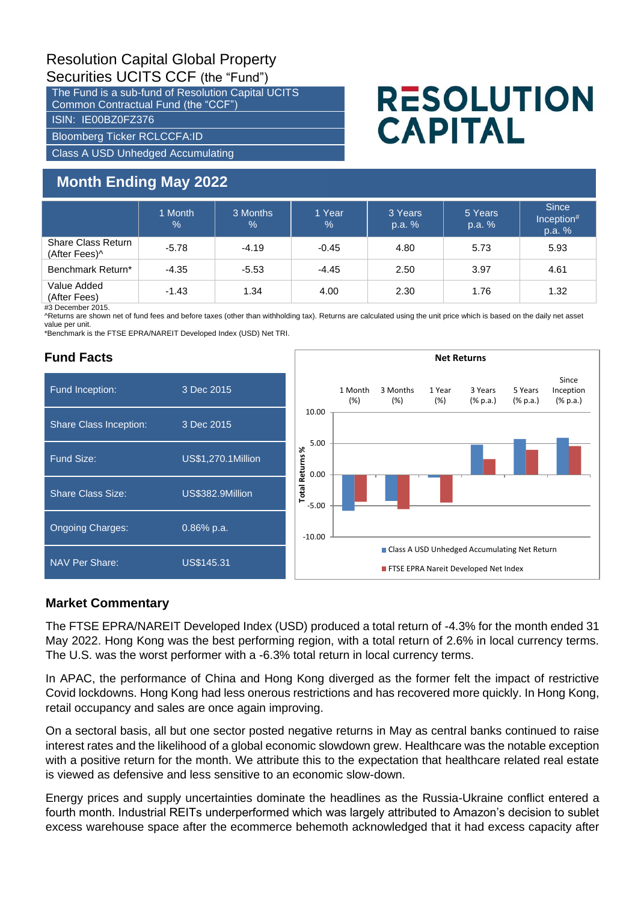# Resolution Capital Global Property Securities UCITS CCF (the "Fund")

The Fund is a sub-fund of Resolution Capital UCITS Common Contractual Fund (the "CCF") ISIN: IE00BZ0FZ376

Bloomberg Ticker RCLCCFA:ID

Class A USD Unhedged Accumulating

# **Month Ending May 2022**

# **RESOLUTION CAPITAL**

|                                     | 1 Month<br>% | 3 Months<br>$\%$ | 1 Year<br>$\frac{0}{0}$ | 3 Years<br>p.a. % | 5 Years<br>p.a. % | <b>Since</b><br>Inception#<br>p.a. % |
|-------------------------------------|--------------|------------------|-------------------------|-------------------|-------------------|--------------------------------------|
| Share Class Return<br>(After Fees)^ | $-5.78$      | $-4.19$          | $-0.45$                 | 4.80              | 5.73              | 5.93                                 |
| Benchmark Return*                   | $-4.35$      | $-5.53$          | $-4.45$                 | 2.50              | 3.97              | 4.61                                 |
| Value Added<br>(After Fees)         | $-1.43$      | 1.34             | 4.00                    | 2.30              | 1.76              | 1.32                                 |

 $#3$  December 2015.

^Returns are shown net of fund fees and before taxes (other than withholding tax). Returns are calculated using the unit price which is based on the daily net asset value per unit.

\*Benchmark is the FTSE EPRA/NAREIT Developed Index (USD) Net TRI.

## **Fund Facts**



### **Market Commentary**

The FTSE EPRA/NAREIT Developed Index (USD) produced a total return of -4.3% for the month ended 31 May 2022. Hong Kong was the best performing region, with a total return of 2.6% in local currency terms. The U.S. was the worst performer with a -6.3% total return in local currency terms.

In APAC, the performance of China and Hong Kong diverged as the former felt the impact of restrictive Covid lockdowns. Hong Kong had less onerous restrictions and has recovered more quickly. In Hong Kong, retail occupancy and sales are once again improving.

On a sectoral basis, all but one sector posted negative returns in May as central banks continued to raise interest rates and the likelihood of a global economic slowdown grew. Healthcare was the notable exception with a positive return for the month. We attribute this to the expectation that healthcare related real estate is viewed as defensive and less sensitive to an economic slow-down.

Energy prices and supply uncertainties dominate the headlines as the Russia-Ukraine conflict entered a fourth month. Industrial REITs underperformed which was largely attributed to Amazon's decision to sublet excess warehouse space after the ecommerce behemoth acknowledged that it had excess capacity after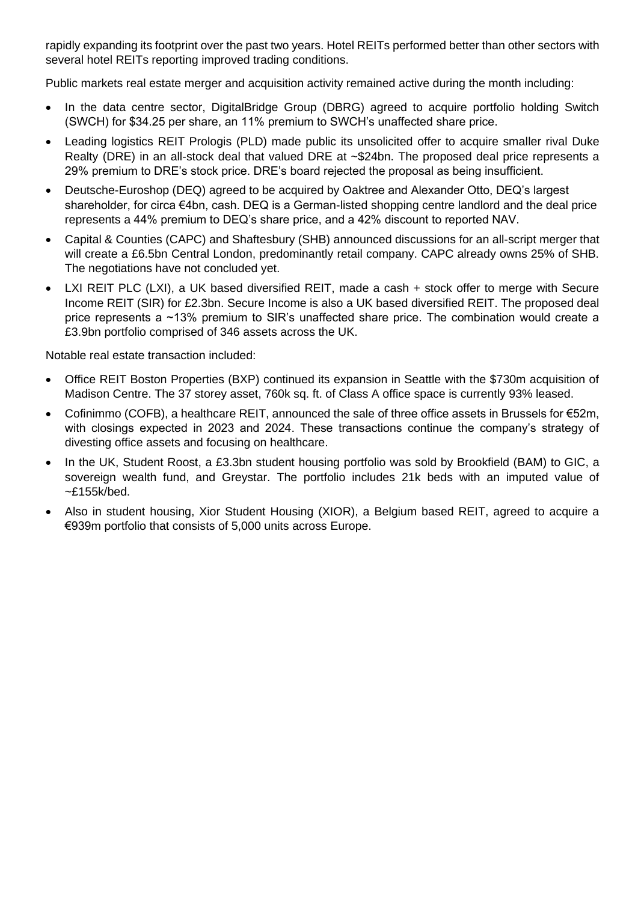rapidly expanding its footprint over the past two years. Hotel REITs performed better than other sectors with several hotel REITs reporting improved trading conditions.

Public markets real estate merger and acquisition activity remained active during the month including:

- In the data centre sector, DigitalBridge Group (DBRG) agreed to acquire portfolio holding Switch (SWCH) for \$34.25 per share, an 11% premium to SWCH's unaffected share price.
- Leading logistics REIT Prologis (PLD) made public its unsolicited offer to acquire smaller rival Duke Realty (DRE) in an all-stock deal that valued DRE at ~\$24bn. The proposed deal price represents a 29% premium to DRE's stock price. DRE's board rejected the proposal as being insufficient.
- Deutsche-Euroshop (DEQ) agreed to be acquired by Oaktree and Alexander Otto, DEQ's largest shareholder, for circa €4bn, cash. DEQ is a German-listed shopping centre landlord and the deal price represents a 44% premium to DEQ's share price, and a 42% discount to reported NAV.
- Capital & Counties (CAPC) and Shaftesbury (SHB) announced discussions for an all-script merger that will create a £6.5bn Central London, predominantly retail company. CAPC already owns 25% of SHB. The negotiations have not concluded yet.
- LXI REIT PLC (LXI), a UK based diversified REIT, made a cash + stock offer to merge with Secure Income REIT (SIR) for £2.3bn. Secure Income is also a UK based diversified REIT. The proposed deal price represents a ~13% premium to SIR's unaffected share price. The combination would create a £3.9bn portfolio comprised of 346 assets across the UK.

Notable real estate transaction included:

- Office REIT Boston Properties (BXP) continued its expansion in Seattle with the \$730m acquisition of Madison Centre. The 37 storey asset, 760k sq. ft. of Class A office space is currently 93% leased.
- Cofinimmo (COFB), a healthcare REIT, announced the sale of three office assets in Brussels for €52m, with closings expected in 2023 and 2024. These transactions continue the company's strategy of divesting office assets and focusing on healthcare.
- In the UK, Student Roost, a £3.3bn student housing portfolio was sold by Brookfield (BAM) to GIC, a sovereign wealth fund, and Greystar. The portfolio includes 21k beds with an imputed value of ~£155k/bed.
- Also in student housing, Xior Student Housing (XIOR), a Belgium based REIT, agreed to acquire a €939m portfolio that consists of 5,000 units across Europe.